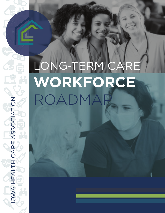## LONG-TERM CARE **WORKFORCE**  ROADMAP

IOWA HEALTH CARE ASSOCIATION

IOWA HEALTH CARE ASSOCIATION

**RE** 

<u>ရှ</u>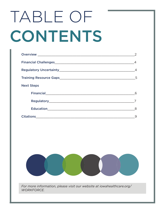# TABLE OF CONTENTS

|                   | $\overline{4}$ |
|-------------------|----------------|
|                   | - 5            |
| <b>Next Steps</b> |                |
|                   | 6              |
|                   |                |
|                   | 8              |
|                   | 9              |



*For more information, please visit our website at iowahealthcare.org/ WORKFORCE.*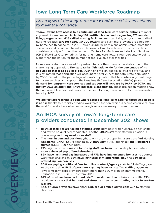### Iowa Long-Term Care Workforce Roadmap

#### *An analysis of the long-term care workforce crisis and actions to meet the challenge*

**Today, Iowans have access to a continuum of long-term care service options** to meet any level of care needed, including 138 certified home health agencies, 375 assisted **living programs and 425 skilled nursing facilities.** Assisted living programs and skilled nursing facilities **care for nearly 30,000 Iowans**, and even more Iowans are cared for by home health agencies. In 2021, Iowa nursing facilities alone administered more than seven million days of care to vulnerable Iowans. Iowa long-term care providers have consistently outperformed the nation on Centers for Medicare and Medicaid Services (CMS) Five-Star Quality ratings for nursing home care. Iowa is four percentage points higher than the nation for the number of top level five-star facilities.

More Iowans also have a need for post-acute care than many other states due to the state's aging population. **The state ranks 17th nationwide for the percentage of its population that is age 65 or older.** Over half a million people in Iowa are over 65, and it is estimated that population will account for over 20% of the total state population by 2050. Based on the percentage of Iowa's population that has historically used longterm care services and support, the Iowa Health Care Association (IHCA) projects that **demand for long-term care services and support will increase by 16.7% by 2030, and that by 2035 an additional 17.6% increase is anticipated.** These projection models show that at current licensed bed capacity, the need for long-term care will surpass available beds by 2035.

**We are fast approaching a point where access to long-term care for those who need it is at risk** thanks to a rapidly eroding workforce situation, which is seeing caregivers leave the workforce at a time when more caregivers are necessary to meet demand.

## An IHCA survey of Iowa's long-term care providers conducted in December 2021 shows:

- **18.5% of facilities are facing a staffing crisis** right now, with numerous open shifts and few to no qualified candidates. Another **49.7% say** their staffing situation is concerning and **they need more staff .**
- The **most in demand positions** (those with the most openings) are Certified Nursing **Assistants** (CNAs) (2,871 openings), **Dietary staff** (1,419 openings) **and Registered Nurses** (RNs) (999 openings).
- **72% say** the primary **reason for losing staff has been** the inability to compete with more enhanced pay offered elsewhere.
- **82% have instituted pay increases** and **77% have implemented bonuses** to address workforce challenges. 56% have instituted shift differential pay and 53% have **off ered sign on bonuses.**
- **50% are paying additional fees to utilize contract/agency staff** to fill staffing gaps. At the same time, 58% of providers say they have lost staff to staffing agencies. Iowa long-term care providers spent more than \$80 million on staffing agency utilization in 2021, up 58.19% from 2020.
- **91% of providers have had to ask staff to work overtime** or take extra shifts. **72%**  providers also **say that burnout and stress** has been a **contributing** factor **to workers leaving.**
- **44% of Iowa providers have** either *reduced or limited admissions* due to staffing shortages.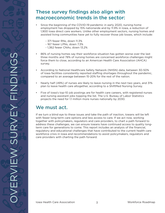#### These survey findings also align with macroeconomic trends in the sector:

- Since the beginning of the COVID-19 pandemic in early 2020, nursing home employment has dropped by 15% nationwide and by 11.9% in Iowa, a reduction of 1,900 Iowa direct care workers. Unlike other employment sectors, nursing homes and assisted living communities have yet to fully recover those job losses, which include:
	- 371 fewer RNs, down 11.3%
	- 167 fewer LPNs, down 7.3%
	- 1,362 fewer CNAs, down 13.2%
- 86% of nursing homes say their workforce situation has gotten worse over the last three months and 78% of nursing homes are concerned workforce challenges might force them to close, according to an American Health Care Association (AHCA) survey.
- According to National Healthcare Safety Network (NHSN) data, between 30-50% of Iowa facilities consistently reported staffing shortages throughout the pandemic, compared to an average between 15-20% for the rest of the nation.
- Nearly half (49%) of nurses are likely to leave nursing in the next two years, and 31% plan to leave health care altogether, according to a ShiftMed Nursing Survey.
- Five of Iowa's top-10 job postings are for health care careers, with registered nurses and nursing assistant jobs topping the list. The U.S. Bureau of Labor Statistics projects the need for 1.1 million more nurses nationally by 2030.

#### We must act.

If we turn a blind eye to these issues and take the path of inaction, Iowans will be left with fewer long-term care options and less access to care. If we act now, working together with policymakers, regulators and care providers, to chart a path forward to address these challenges, we can ensure Iowans have continued access to quality longterm care for generations to come. This report includes an analysis of the financial, regulatory and educational challenges that have contributed to the current health care workforce crisis in Iowa and recommendations to assist policymakers, regulators and care providers with charting the path forward.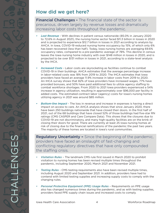#### How did we get here?

**Financial Challenges -** The financial state of the sector is precarious, driven largely by revenue losses and dramatically increasing labor costs throughout the pandemic.

- *Lost Revenue*  With declines in patient census nationwide (85.0% in January 2020 to 72.6% in August 2021), the nursing home sector faced \$11.3 billion in losses in 2020 and is projected to experience \$12.7 billion in losses in 2021 according to analysis by AHCA. In Iowa, COVID-19 reduced nursing home occupancy by 15%, of which only 6% has been recovered (less than half). Today, Iowa nursing homes are averaging 69.6% occupancy rates, compared to a pre-pandemic average of 78%. This decline in census leaves the Iowa nursing home industry with over \$148 million in losses in 2020, and is projected to be over \$131 million in losses in 2021, according to a state-level analysis by the IHCA.
- *Increased Costs* Labor costs are skyrocketing as facilities continue to combat COVID-19 in their buildings. AHCA estimates that the average percentage increase in labor-related costs was 18% from 2019 to 2020. The IHCA estimates that Iowa providers have faced an average 11.9% increase in labor costs from 2019 to 2020. An IHCA survey shows that 82% of Iowa providers have increased wages, 77% have provided bonuses, and 50% have paid additional fees to utilize agency staffing to combat workforce shortages. From 2020 to 2021 Iowa providers experienced a 54% increase in agency utilization, resulting in approximately over \$96,000 per facility in added costs. The estimated contract labor (agency) costs for Iowa's nursing homes utilizing agency in 2021 was around \$85 million.
- *Bottom-line Impact*  The loss in revenue and increase in expenses is having a direct impact on access to care. An AHCA analysis shows that since January 2020, there have been 250 buildings nationwide that have closed their doors. In the first half of 2021, out of the 68 buildings that have closed 52% of those buildings had five-star RN ratings (CMS CASPER and Care Compare Data). This shows that the closures due to COVID-19 are not discriminatory, and many high-quality facilities are on the brink of closing their doors for good. There are currently at least 25 Iowa nursing homes at risk of closing due to the financial ramifications of the pandemic the past two years. The majority of these homes are located in Iowa's rural communities.

Regulatory Uncertainty **–** Since the beginning of the pandemic, providers have faced an onslaught of fast-changing and conflicting regulatory directives that have only compounded the staffing crisis.

- *Visitation Rules* The landmark CMS rule first issued in March 2020 to prohibit visitation to nursing homes has been revised multiple times throughout the pandemic, including September 2020, March 2021 and November 2021.
- *Testing Rules* CMS testing requirements also have been revised multiple times, including August 2020 and September 2021. In addition, providers have had to contend with limited testing supplies and increasing supply costs to comply with the changing rules.
- Personal Protective Equipment (PPE) Usage Rules Requirements on PPE usage also has changed numerous times during the pandemic, and as with testing supplies, providers faced PPE supply chain issues and increased costs to comply.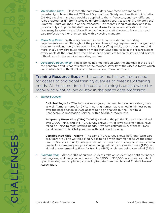- *Vaccination Rules* Most recently, care providers have faced navigating the uncertainty of how different CMS and Occupational Safety and Health Administration (OSHA) vaccine mandates would be applied to them if enacted, and saw different rules enacted for different states by different district court cases, until ultimately the Supreme Court weighed in on the mandates. The months-long regulatory and legal process only compounded staff fears of what was to come, and it is still unknown how many long-term care jobs will be lost because staff choose to leave the health care profession rather than comply with a vaccine mandate.
- *Reporting Rules*  With every new requirement, came additional reporting requirements as well. Throughout the pandemic reporting requirements changed and grew to include not only case counts, but also staffing levels, vaccination rates and more. In all, providers must report on more than 300 data fields in the NHSN system every week. At the same time, there have been countless technical issues and system difficulties with the required reporting system.
- *Outdated Public Policy* Public policy has not kept up with the changes in the arc of the pandemic and is not reflective of the reduced severity of the disease today, which has contributed to the flight of staff from the long-term care sector.

Training Resource Gaps **–** The pandemic has created a need for access to additional training avenues to meet new training needs. At the same time, the cost of training is unattainable for many who want to join or stay in the health care profession.

*• Training Access*

**CNA Training** – As CNA turnover rates grow, the need to train new aides grows as well. Turnover rates for CNAs in nursing homes has reached its highest point over the past decade in 2021, according to an analysis by the Hospital & Healthcare Compensation Service, with a 51.38% turnover rate.

 **Temporary Nurse Aide (TNA) Training** – During the pandemic, Iowa has trained over 3,000 TNAs, and the IHCA survey shows 74% of Iowa nursing homes have relied on TNAs to meet staffing needs. Providers estimate 87% of these TNAs could convert to fill CNA positions with additional training.

**Certified Med Aide Training** – The same IHCA survey shows 83% long-term care providers are using Certified Med Aides to help with staffing needs. At the same time, 31% say community colleges are not meeting their training needs in this area due lack of class frequency or classes being held at inconvenient times (97%), no virtual or on-demand options for training (48%) or classes being cancelled (24%).

*Funding Gaps - Almost 70% of nursing students take on student loan debt to finance* their degrees, and many can end up with \$40,000 to \$55,000 in student loan debt upon their degree completion, according to data from the National Student Nurses' Association.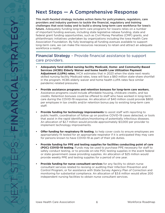## Next Steps — A Comprehensive Response

This multi-faceted strategy includes action items for policymakers, regulators, care providers and industry partners to tackle the financial, regulatory and training challenges that exist today and to build a strong long-term care workforce for Iowa's future. Adequately funding long-term care programs for lowans relies on a number of important funding avenues, including state legislative rebase funding, state and federal grant funding opportunities, such as Civil Money Penalties (CMP) grants, and philanthropic initiatives undertaken by organizations including the Iowa Health Care Association Foundation. By fully leveraging all funding avenues available to support long-term care, we can make the resources necessary to retain and attract an adequate workforce a reality.

#### Financial Strategy - Provide financial assistance to support care providers.

- **Adequately fund skilled nursing facility Medicaid, Home- and Community-Based Services (HCBS) Elderly Waiver and home health Low Utilization Payment Adjustment (LUPA) rates.** IHCA estimates that in 2023 when the state next resets skilled nursing facility Medicaid rates, Iowa will face a \$60 million state-share shortfall in the program. HCBS elderly waiver and home health LUPA rates face similar pandemic-related pressures.
- **Provide assistance programs and retention bonuses for long-term care workers.** Assistance programs could include affordable housing, childcare credits, and tax credits. Retention bonuses could be offered to staff who have worked in long-term care during the COVID-19 response. An allocation of \$40 million could provide \$800 per employee in tax credits and/or retention bonus pay to existing long-term care staff.
- **Provide funding for technology improvements** to assist staff with reporting to public health, coordination of follow up on positive COVID-19 cases detected, or tools that assist in the rapid identification/monitoring of potentially infectious diseases. An allocation of \$2.7 million would provide approximately \$3,000 per provider to implement technology improvements.
- **Offer funding for respiratory fit testing**, to help cover costs to ensure employees are appropriately fit tested for an appropriate respirator if it is anticipated they may care for persons known to have COVID-19 as part of their job duties.
- **Provide funding for PPE and testing supplies for facilities conducting point of care (POC) COVID-19 testing**. Funds may be used to purchase PPE necessary for staff to safely conduct testing, or to provide on-site POC testing supplies in the event federal or state government cease providing supplies. An allocation of \$25 million would provide weekly PPE and testing supplies for a period of one year.
- **Provide funding for nurse consultant services** for any facility to obtain nurse consultant services related to revising or auditing their Infection Prevention and Control Program, or for assistance with State Survey Agency Plan of Correction and monitoring for substantial compliance. An allocation of \$3.6 million would allow 200 independent nursing facilities to obtain nurse consultant services.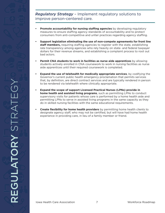#### *Regulatory Strategy* – Implement regulatory solutions to improve person-centered care.

- **Promote accountability for nursing staffing agencies** by developing regulatory measures to ensure staffing agency standards of accountability and to protect consumers from anti-competitive and unfair practices regarding agency staffing.
- **Support legislation eliminating the use of non-compete agreements for front line staff members,** requiring staffing agencies to register with the state, establishing rate transparency among agencies who rely heavily on state- and federal taxpayer dollars for their revenue streams, and establishing a complaint process to root out bad actors.
- **Permit CNA students to work in facilities as nurse aide apprentices** by allowing students actively enrolled in CNA coursework to work in nursing facilities as nurse aide apprentices until their required coursework is completed.
- **Expand the use of telehealth for medically appropriate services**, by codifying the Governor's current public health emergency proclamation that permits services that, by definition, are direct contract services and are typically rendered in person to be rendered via telehealth where clinically appropriate.
- **Expand the scope of support Licensed Practical Nurses (LPNs) provide in home health and assisted living programs**, such as permitting LPNs to conduct supervisory visits for patients whose care is performed by a home health aide and permitting LPNs to serve in assisted living programs in the same capacity as they do in skilled nursing facilities with the same educational requirements.
- **Create flexibility for home health providers** by permitting home health clients to designate agency staff, who may not be certified, but will have had home health experience in providing care, in lieu of a family member or friend.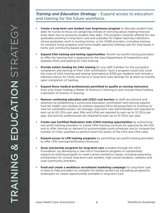*Training and Education Strategy* – Expand access to education and training for the future workforce.

- **Create a long-term care student loan forgiveness program** to alleviate student loan debt for nurses to focus on caregiving instead of worrying about making financial ends meet due to excessive student loan debt. This program could be offered for new graduates working in long-term care and subsidies for higher learning institutions whose graduates work in nursing homes, or for HCBS providers, including training for assisted living programs and home health agencies offering care for individuals in home and community-based settings.
- **Expand CNA training and testing opportunities**. Permit non-profit training providers to offer the training that is approved by the Iowa Department of Inspections and Appeals (DIA) and testing for CNA training.
- **Provide tuition funding for CNA training** for any staff member for the successful completion and earning of their CNA certification. Such a program could fully cover the costs of CNA training and testing (estimated at \$700 per student) and include a retention bonus for CNAs who serve in long-term care settings for at least six months upon completion of training.
- **Expand those medical professionals permitted to qualify as nursing instructors**  from only those holding a Master of Science in Nursing to also include those holding a Bachelor of Science in Nursing.
- **Remove continuing education unit (CEU) cost barriers** to staff recruitment and retention by establishing a continuing education certification and training support fund for health care workers to achieve required CEUs allowing them to continue to care for vulnerable Iowans. On average, long-term care administrators are required to earn up to 20 CEUs per year; RNs and LPNs are required to earn up to 12 CEUs per year, and activity professionals are required to earn up to 10 CEUs per year.
- **Create new Certified Medication Aide (CMA) training opportunities** by authorizing non-profit training providers to create CMA training curricula for approval by the DIA and to offer training on demand to accommodate work schedules and to increase the number of CNAs qualified to perform both the duties of the CNA and CMA roles.
- **Expand access to LPN training programs** by permitting non-profit training providers to offer LPN training/certification/licensure.
- **Grow scholarship programs for long-term care** available through the IHCA Foundation, by developing a new IHCA Foundation program or substantially expand an existing program to meet current workforce needs, including expanding scholarships for current long-term care workers, high school students, veterans and rural community members.
- **Fund and create a workforce recruitment marketing campaign** for long-term care in Iowa to help providers to compete for skilled workers by educating prospective employees on career opportunities available in long-term care.